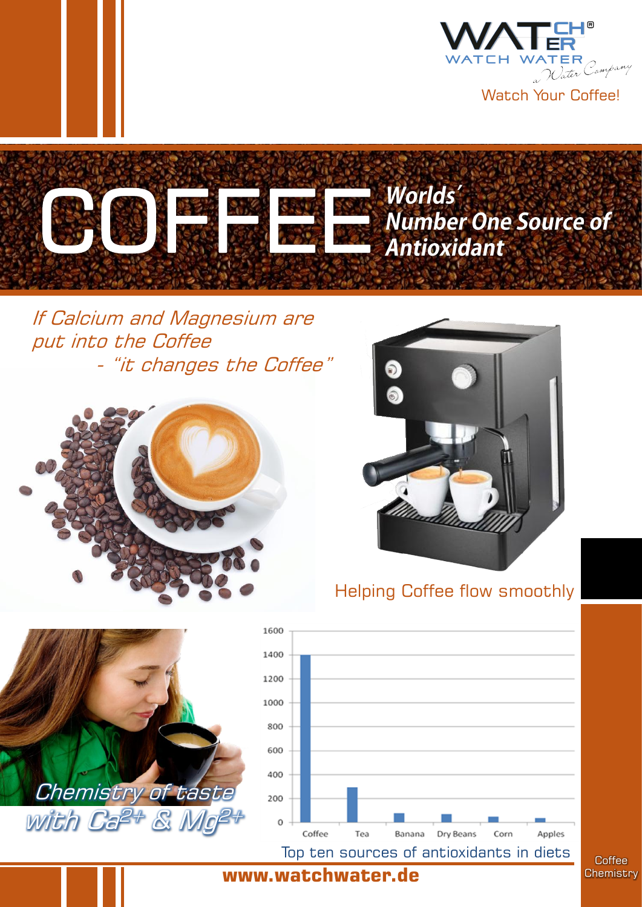



If Calcium and Magnesium are put into the Coffee - "it changes the Coffee"





# Helping Coffee flow smoothly



**Coffee Chemistry** 

Apples

#### **www.watchwater.de**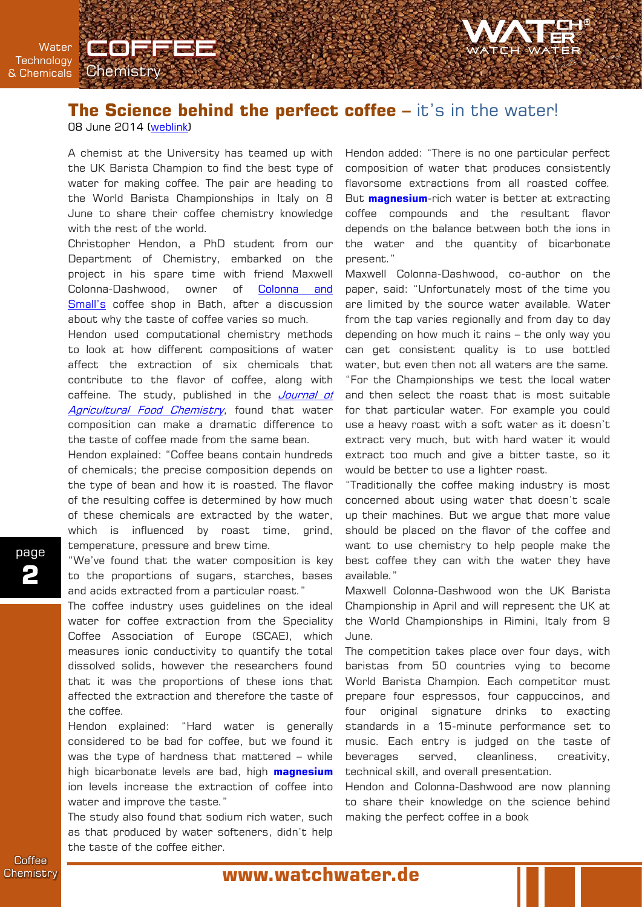

**Water Technology** & Chemicals

## **The Science behind the perfect coffee –** it's in the water!

08 June 2014 ([weblink](http://www.bath.ac.uk/research/news/2014/06/05/coffee-chemistry/))

**Chemistry** 

**Corfie** 

A chemist at the University has teamed up with the UK Barista Champion to find the best type of water for making coffee. The pair are heading to the World Barista Championships in Italy on 8 June to share their coffee chemistry knowledge with the rest of the world.

Christopher Hendon, a PhD student from our Department of Chemistry, embarked on the project in his spare time with friend Maxwell Colonna-Dashwood, owner of [Colonna](http://www.colonnaandsmalls.co.uk/) [and](http://www.colonnaandsmalls.co.uk/) [Small's](http://www.colonnaandsmalls.co.uk/) coffee shop in Bath, after a discussion about why the taste of coffee varies so much.

Hendon used computational chemistry methods to look at how different compositions of water affect the extraction of six chemicals that contribute to the flavor of coffee, along with caffeine. The study, published in the [Journal](http://pubs.acs.org/doi/full/10.1021/jf501687c) [of](http://pubs.acs.org/doi/full/10.1021/jf501687c) [Agricultural](http://pubs.acs.org/doi/full/10.1021/jf501687c) [Food](http://pubs.acs.org/doi/full/10.1021/jf501687c) [Chemistry](http://pubs.acs.org/doi/full/10.1021/jf501687c), found that water composition can make a dramatic difference to the taste of coffee made from the same bean.

Hendon explained: "Coffee beans contain hundreds of chemicals; the precise composition depends on the type of bean and how it is roasted. The flavor of the resulting coffee is determined by how much of these chemicals are extracted by the water, which is influenced by roast time, grind, temperature, pressure and brew time.

"We've found that the water composition is key to the proportions of sugars, starches, bases and acids extracted from a particular roast."

The coffee industry uses guidelines on the ideal water for coffee extraction from the Speciality Coffee Association of Europe (SCAE), which measures ionic conductivity to quantify the total dissolved solids, however the researchers found that it was the proportions of these ions that affected the extraction and therefore the taste of the coffee.

Hendon explained: "Hard water is generally considered to be bad for coffee, but we found it was the type of hardness that mattered – while high bicarbonate levels are bad, high **magnesium** ion levels increase the extraction of coffee into water and improve the taste."

The study also found that sodium rich water, such as that produced by water softeners, didn't help the taste of the coffee either.

Hendon added: "There is no one particular perfect composition of water that produces consistently flavorsome extractions from all roasted coffee. But **magnesium**-rich water is better at extracting coffee compounds and the resultant flavor depends on the balance between both the ions in the water and the quantity of bicarbonate present."

Maxwell Colonna-Dashwood, co-author on the paper, said: "Unfortunately most of the time you are limited by the source water available. Water from the tap varies regionally and from day to day depending on how much it rains – the only way you can get consistent quality is to use bottled water, but even then not all waters are the same. "For the Championships we test the local water and then select the roast that is most suitable for that particular water. For example you could use a heavy roast with a soft water as it doesn't extract very much, but with hard water it would extract too much and give a bitter taste, so it would be better to use a lighter roast.

"Traditionally the coffee making industry is most concerned about using water that doesn't scale up their machines. But we argue that more value should be placed on the flavor of the coffee and want to use chemistry to help people make the best coffee they can with the water they have available."

Maxwell Colonna-Dashwood won the UK Barista Championship in April and will represent the UK at the World Championships in Rimini, Italy from 9 June.

The competition takes place over four days, with baristas from 50 countries vying to become World Barista Champion. Each competitor must prepare four espressos, four cappuccinos, and four original signature drinks to exacting standards in a 15-minute performance set to music. Each entry is judged on the taste of beverages served, cleanliness, creativity, technical skill, and overall presentation.

Hendon and Colonna-Dashwood are now planning to share their knowledge on the science behind making the perfect coffee in a book